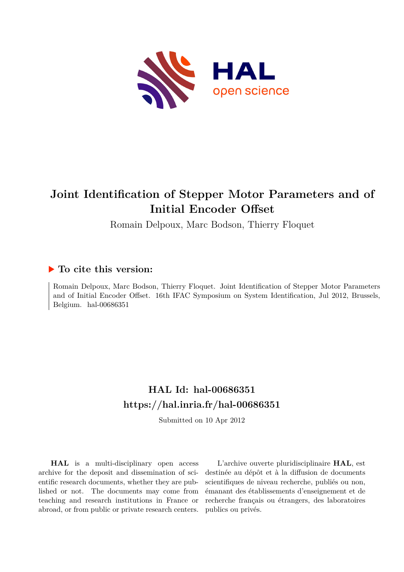

# **Joint Identification of Stepper Motor Parameters and of Initial Encoder Offset**

Romain Delpoux, Marc Bodson, Thierry Floquet

# **To cite this version:**

Romain Delpoux, Marc Bodson, Thierry Floquet. Joint Identification of Stepper Motor Parameters and of Initial Encoder Offset. 16th IFAC Symposium on System Identification, Jul 2012, Brussels, Belgium. hal-00686351

# **HAL Id: hal-00686351 <https://hal.inria.fr/hal-00686351>**

Submitted on 10 Apr 2012

**HAL** is a multi-disciplinary open access archive for the deposit and dissemination of scientific research documents, whether they are published or not. The documents may come from teaching and research institutions in France or abroad, or from public or private research centers.

L'archive ouverte pluridisciplinaire **HAL**, est destinée au dépôt et à la diffusion de documents scientifiques de niveau recherche, publiés ou non, émanant des établissements d'enseignement et de recherche français ou étrangers, des laboratoires publics ou privés.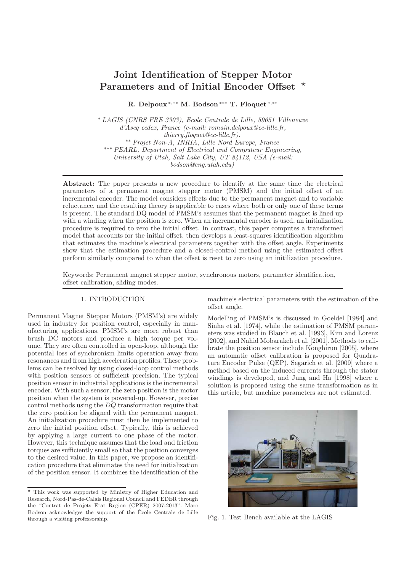# Joint Identification of Stepper Motor Parameters and of Initial Encoder Offset  $\star$

R. Delpoux <sup>∗</sup>,∗∗ M. Bodson∗∗∗ T. Floquet <sup>∗</sup>,∗∗

<sup>∗</sup> *LAGIS (CNRS FRE 3303), Ecole Centrale de Lille, 59651 Villeneuve d'Ascq cedex, France (e-mail: romain.delpoux@ec-lille.fr, thierry.floquet@ec-lille.fr).* ∗∗ *Projet Non-A, INRIA, Lille Nord Europe, France* ∗∗∗ *PEARL, Department of Electrical and Computeur Engineering, University of Utah, Salt Lake City, UT 84112, USA (e-mail: bodson@eng.utah.edu)*

Abstract: The paper presents a new procedure to identify at the same time the electrical parameters of a permanent magnet stepper motor (PMSM) and the initial offset of an incremental encoder. The model considers effects due to the permanent magnet and to variable reluctance, and the resulting theory is applicable to cases where both or only one of these terms is present. The standard DQ model of PMSM's assumes that the permanent magnet is lined up with a winding when the position is zero. When an incremental encoder is used, an initialization procedure is required to zero the initial offset. In contrast, this paper computes a transformed model that accounts for the initial offset. then develops a least-squares identification algorithm that estimates the machine's electrical parameters together with the offset angle. Experiments show that the estimation procedure and a closed-control method using the estimated offset perform similarly compared to when the offset is reset to zero using an initilization procedure.

Keywords: Permanent magnet stepper motor, synchronous motors, parameter identification, offset calibration, sliding modes.

#### 1. INTRODUCTION

Permanent Magnet Stepper Motors (PMSM's) are widely used in industry for position control, especially in manufacturing applications. PMSM's are more robust than brush DC motors and produce a high torque per volume. They are often controlled in open-loop, although the potential loss of synchronism limits operation away from resonances and from high acceleration profiles. These problems can be resolved by using closed-loop control methods with position sensors of sufficient precision. The typical position sensor in industrial applications is the incremental encoder. With such a sensor, the zero position is the motor position when the system is powered-up. However, precise control methods using the DQ transformation require that the zero position be aligned with the permanent magnet. An initialization procedure must then be implemented to zero the initial position offset. Typically, this is achieved by applying a large current to one phase of the motor. However, this technique assumes that the load and friction torques are sufficiently small so that the position converges to the desired value. In this paper, we propose an identification procedure that eliminates the need for initialization of the position sensor. It combines the identification of the

machine's electrical parameters with the estimation of the offset angle.

Modelling of PMSM's is discussed in Goeldel [1984] and Sinha et al. [1974], while the estimation of PMSM parameters was studied in Blauch et al. [1993], Kim and Lorenz [2002], and Nahid Mobarakeh et al. [2001]. Methods to calibrate the position sensor include Konghirun [2005], where an automatic offset calibration is proposed for Quadrature Encoder Pulse (QEP), Segarich et al. [2009] where a method based on the induced currents through the stator windings is developed, and Jung and Ha [1998] where a solution is proposed using the same transformation as in this article, but machine parameters are not estimated.



Fig. 1. Test Bench available at the LAGIS

<sup>⋆</sup> This work was supported by Ministry of Higher Education and Research, Nord-Pas-de-Calais Regional Council and FEDER through the "Contrat de Projets Etat Region (CPER) 2007-2013". Marc Bodson acknowledges the support of the Ecole Centrale de Lille ´ through a visiting professorship.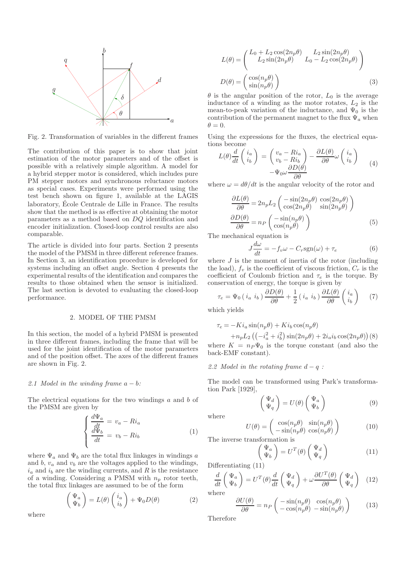

Fig. 2. Transformation of variables in the different frames

The contribution of this paper is to show that joint estimation of the motor parameters and of the offset is possible with a relatively simple algorithm. A model for a hybrid stepper motor is considered, which includes pure PM stepper motors and synchronous reluctance motors as special cases. Experiments were performed using the test bench shown on figure 1, available at the LAGIS laboratory, École Centrale de Lille in France. The results show that the method is as effective at obtaining the motor parameters as a method based on DQ identification and encoder initialization. Closed-loop control results are also comparable.

The article is divided into four parts. Section 2 presents the model of the PMSM in three different reference frames. In Section 3, an identification procedure is developed for systems including an offset angle. Section 4 presents the experimental results of the identification and compares the results to those obtained when the sensor is initialized. The last section is devoted to evaluating the closed-loop performance.

#### 2. MODEL OF THE PMSM

In this section, the model of a hybrid PMSM is presented in three different frames, including the frame that will be used for the joint identification of the motor parameters and of the position offset. The axes of the different frames are shown in Fig. 2.

### *2.1 Model in the winding frame a − b:*

The electrical equations for the two windings a and b of the PMSM are given by

$$
\begin{cases}\n\frac{d\Psi_a}{dt} = v_a - Ri_a \\
\frac{d\Psi_b}{dt} = v_b - Ri_b\n\end{cases} \tag{1}
$$

where  $\Psi_a$  and  $\Psi_b$  are the total flux linkages in windings a and  $b, v_a$  and  $v_b$  are the voltages applied to the windings,  $i_a$  and  $i_b$  are the winding currents, and R is the resistance of a winding. Considering a PMSM with  $n_p$  rotor teeth, the total flux linkages are assumed to be of the form

$$
\begin{pmatrix} \Psi_a \\ \Psi_b \end{pmatrix} = L(\theta) \begin{pmatrix} i_a \\ i_b \end{pmatrix} + \Psi_0 D(\theta) \tag{2}
$$

 $L(\theta) = \begin{pmatrix} L_0 + L_2 \cos(2n_p \theta) & L_2 \sin(2n_p \theta) \\ L_2 \sin(2n_p \theta) & L_0 - L_2 \cos(2n_p \theta) \end{pmatrix}$  $D(\theta) = \begin{pmatrix} \cos(n_p \theta) \\ \sin(n_p \theta) \end{pmatrix}$  $\sin(n_p\theta)$  $\setminus$ (3)

 $\theta$  is the angular position of the rotor,  $L_0$  is the average inductance of a winding as the motor rotates,  $L_2$  is the mean-to-peak variation of the inductance, and  $\Psi_0$  is the contribution of the permanent magnet to the flux  $\Psi_a$  when  $\theta = 0.$ 

Using the expressions for the fluxes, the electrical equations become

$$
L(\theta) \frac{d}{dt} \begin{pmatrix} i_a \\ i_b \end{pmatrix} = \begin{pmatrix} v_a - Ri_a \\ v_b - Ri_b \end{pmatrix} - \frac{\partial L(\theta)}{\partial \theta} \omega \begin{pmatrix} i_a \\ i_b \end{pmatrix}
$$
  

$$
-\Psi_0 \omega \frac{\partial D(\theta)}{\partial \theta}
$$
 (4)

where  $\omega = d\theta/dt$  is the angular velocity of the rotor and

$$
\frac{\partial L(\theta)}{\partial \theta} = 2n_p L_2 \begin{pmatrix} -\sin(2n_p \theta) \cos(2n_p \theta) \\ \cos(2n_p \theta) \sin(2n_p \theta) \end{pmatrix}
$$

$$
\frac{\partial D(\theta)}{\partial \theta} = n_P \begin{pmatrix} -\sin(n_p \theta) \\ \cos(n_p \theta) \end{pmatrix}
$$
(5)

The mechanical equation is

$$
J\frac{d\omega}{dt} = -f_v \omega - C_r \text{sgn}(\omega) + \tau_e \tag{6}
$$

where  $J$  is the moment of inertia of the rotor (including the load),  $f_v$  is the coefficient of viscous friction,  $C_r$  is the coefficient of Coulomb friction and  $\tau_e$  is the torque. By conservation of energy, the torque is given by

$$
\tau_e = \Psi_0 \left( i_a \ i_b \right) \frac{\partial D(\theta)}{\partial \theta} + \frac{1}{2} \left( i_a \ i_b \right) \frac{\partial L(\theta)}{\partial \theta} \begin{pmatrix} i_a \\ i_b \end{pmatrix} \tag{7}
$$

which yields

$$
\tau_e = -Ki_a \sin(n_p \theta) + Ki_b \cos(n_p \theta)
$$

$$
+ n_p L_2 \left( \left( -i_a^2 + i_b^2 \right) \sin(2n_p \theta) + 2i_a i_b \cos(2n_p \theta) \right) (8)
$$

where  $K = n_P \Psi_0$  is the torque constant (and also the back-EMF constant).

*2.2 Model in the rotating frame* d − q *:*

The model can be transformed using Park's transformation Park [1929],

$$
\begin{pmatrix} \Psi_d \\ \Psi_q \end{pmatrix} = U(\theta) \begin{pmatrix} \Psi_a \\ \Psi_b \end{pmatrix}
$$
 (9)

where

$$
U(\theta) = \begin{pmatrix} \cos(n_p \theta) & \sin(n_p \theta) \\ -\sin(n_p \theta) & \cos(n_p \theta) \end{pmatrix}
$$
 (10)

The inverse transformation is

$$
\begin{pmatrix} \Psi_a \\ \Psi_b \end{pmatrix} = U^T(\theta) \begin{pmatrix} \Psi_d \\ \Psi_q \end{pmatrix} \tag{11}
$$

Differentiating (11)

$$
\frac{d}{dt}\left(\begin{array}{c}\Psi_a\\\Psi_b\end{array}\right) = U^T(\theta)\frac{d}{dt}\left(\begin{array}{c}\Psi_d\\\Psi_q\end{array}\right) + \omega\frac{\partial U^T(\theta)}{\partial \theta}\left(\begin{array}{c}\Psi_d\\\Psi_q\end{array}\right) \tag{12}
$$

where

$$
\frac{\partial U(\theta)}{\partial \theta} = n_P \begin{pmatrix} -\sin(n_p \theta) & \cos(n_p \theta) \\ -\cos(n_p \theta) & -\sin(n_p \theta) \end{pmatrix}
$$
 (13)

Therefore

where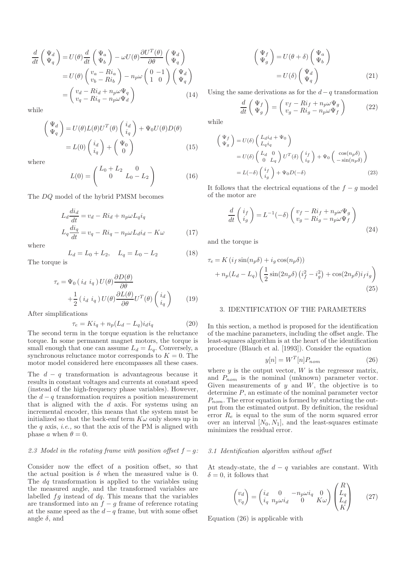$$
\frac{d}{dt} \begin{pmatrix} \Psi_d \\ \Psi_q \end{pmatrix} = U(\theta) \frac{d}{dt} \begin{pmatrix} \Psi_a \\ \Psi_b \end{pmatrix} - \omega U(\theta) \frac{\partial U^T(\theta)}{\partial \theta} \begin{pmatrix} \Psi_d \\ \Psi_q \end{pmatrix}
$$

$$
= U(\theta) \begin{pmatrix} v_a - Ri_a \\ v_b - Ri_b \end{pmatrix} - n_p \omega \begin{pmatrix} 0 & -1 \\ 1 & 0 \end{pmatrix} \begin{pmatrix} \Psi_d \\ \Psi_q \end{pmatrix}
$$

$$
= \begin{pmatrix} v_d - Ri_d + n_p \omega \Psi_q \\ v_q - Ri_q - n_p \omega \Psi_d \end{pmatrix} \tag{14}
$$

while

$$
\begin{pmatrix} \Psi_d \\ \Psi_q \end{pmatrix} = U(\theta)L(\theta)U^T(\theta) \begin{pmatrix} i_d \\ i_q \end{pmatrix} + \Psi_0 U(\theta) D(\theta)
$$

$$
= L(0) \begin{pmatrix} i_d \\ i_q \end{pmatrix} + \begin{pmatrix} \Psi_0 \\ 0 \end{pmatrix} \tag{15}
$$

where

$$
L(0) = \begin{pmatrix} L_0 + L_2 & 0 \\ 0 & L_0 - L_2 \end{pmatrix}
$$
 (16)

The DQ model of the hybrid PMSM becomes

$$
L_d \frac{di_d}{dt} = v_d - Ri_d + n_p \omega L_q i_q
$$
  
\n
$$
L_q \frac{di_q}{dt} = v_q - Ri_q - n_p \omega L_d i_d - K \omega
$$
\n(17)

where

$$
L_d = L_0 + L_2, \quad L_q = L_0 - L_2 \tag{18}
$$

The torque is

$$
\tau_e = \Psi_0 \left( i_d \ i_q \right) U(\theta) \frac{\partial D(\theta)}{\partial \theta} + \frac{1}{2} \left( i_d \ i_q \right) U(\theta) \frac{\partial L(\theta)}{\partial \theta} U^T(\theta) \begin{pmatrix} i_d \\ i_q \end{pmatrix}
$$
(19)

After simplifications

$$
\tau_e = K i_q + n_p (L_d - L_q) i_d i_q \tag{20}
$$

The second term in the torque equation is the reluctance torque. In some permanent magnet motors, the torque is small enough that one can assume  $L_d = L_q$ . Conversely, a synchronous reluctance motor corresponds to  $K = 0$ . The motor model considered here encompasses all these cases.

The  $d - q$  transformation is advantageous because it results in constant voltages and currents at constant speed (instead of the high-frequency phase variables). However, the  $d - q$  transformation requires a position measurement that is aligned with the  $d$  axis. For systems using an incremental encoder, this means that the system must be initialized so that the back-emf term  $K\omega$  only shows up in the q axis, *i.e.,* so that the axis of the PM is aligned with phase a when  $\theta = 0$ .

## *2.3 Model in the rotating frame with position offset*  $f − q$ *:*

Consider now the effect of a position offset, so that the actual position is  $\delta$  when the measured value is 0. The dq transformation is applied to the variables using the measured angle, and the transformed variables are labelled  $fg$  instead of  $dq$ . This means that the variables are transformed into an  $f - g$  frame of reference rotating at the same speed as the  $d-q$  frame, but with some offset angle  $\delta$ , and

$$
\begin{pmatrix} \Psi_f \\ \Psi_g \end{pmatrix} = U(\theta + \delta) \begin{pmatrix} \Psi_a \\ \Psi_b \end{pmatrix}
$$

$$
= U(\delta) \begin{pmatrix} \Psi_d \\ \Psi_g \end{pmatrix}
$$
(21)

Using the same derivations as for the  $d-q$  transformation

$$
\frac{d}{dt}\begin{pmatrix}\Psi_f\\\Psi_g\end{pmatrix} = \begin{pmatrix}v_f - Ri_f + n_p \omega \Psi_g\\v_g - Ri_g - n_p \omega \Psi_f\end{pmatrix}
$$
(22)

while

$$
\begin{aligned}\n\begin{pmatrix}\n\Psi_f \\
\Psi_g\n\end{pmatrix} &= U(\delta) \begin{pmatrix} L_d i_d + \Psi_0 \\
 L_q i_q\n\end{pmatrix} \\
&= U(\delta) \begin{pmatrix} L_d & 0 \\
0 & L_q \end{pmatrix} U^T(\delta) \begin{pmatrix} i_f \\
i_g \end{pmatrix} + \Psi_0 \begin{pmatrix} \cos(n_p \delta) \\
-\sin(n_p \delta) \end{pmatrix} \\
&= L(-\delta) \begin{pmatrix} i_f \\
i_g \end{pmatrix} + \Psi_0 D(-\delta)\n\end{aligned} \tag{23}
$$

It follows that the electrical equations of the  $f - g$  model of the motor are

$$
\frac{d}{dt}\begin{pmatrix} i_f \\ i_g \end{pmatrix} = L^{-1}(-\delta) \begin{pmatrix} v_f - Ri_f + n_p \omega \Psi_g \\ v_g - Ri_g - n_p \omega \Psi_f \end{pmatrix}
$$
\n(24)

and the torque is

$$
\tau_e = K \left( i_f \sin(n_p \delta) + i_g \cos(n_p \delta) \right)
$$
  
+ 
$$
n_p (L_d - L_q) \left( \frac{1}{2} \sin(2n_p \delta) \left( i_f^2 - i_g^2 \right) + \cos(2n_p \delta) i_f i_g \right)
$$
  
(25)

## 3. IDENTIFICATION OF THE PARAMETERS

In this section, a method is proposed for the identification of the machine parameters, including the offset angle. The least-squares algorithm is at the heart of the identification procedure (Blauch et al. [1993]). Consider the equation

$$
y[n] = W^T[n]P_{nom}
$$
\n(26)

where  $y$  is the output vector,  $W$  is the regressor matrix, and  $P_{nom}$  is the nominal (unknown) parameter vector. Given measurements of  $y$  and  $W$ , the objective is to determine P, an estimate of the nominal parameter vector  $P_{nom}$ . The error equation is formed by subtracting the output from the estimated output. By definition, the residual error  $R_e$  is equal to the sum of the norm squared error over an interval  $[N_0, N_1]$ , and the least-squares estimate minimizes the residual error.

#### *3.1 Identification algorithm without offset*

At steady-state, the  $d - q$  variables are constant. With  $\delta = 0$ , it follows that

$$
\begin{pmatrix} v_d \\ v_q \end{pmatrix} = \begin{pmatrix} i_d & 0 & -n_p \omega i_q & 0 \\ i_q & n_p \omega i_d & 0 & K \omega \end{pmatrix} \begin{pmatrix} R \\ L_q \\ L_d \\ K \end{pmatrix} \tag{27}
$$

Equation (26) is applicable with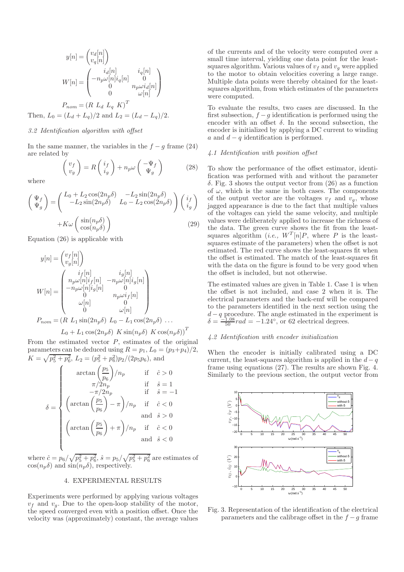$$
y[n] = \begin{pmatrix} v_d[n] \\ v_q[n] \end{pmatrix}
$$

$$
W[n] = \begin{pmatrix} i_d[n] & i_q[n] \\ -n_p \omega[n]i_q[n] & 0 \\ 0 & n_p \omega i_d[n] \\ 0 & \omega[n] \end{pmatrix}
$$

$$
P_{nom} = (R L_d L_q K)^T
$$
Then,  $L_0 = (L_d + L_q)/2$  and  $L_2 = (L_d - L_q)/2$ .

#### *3.2 Identification algorithm with offset*

In the same manner, the variables in the  $f - q$  frame (24) are related by

$$
\begin{pmatrix} v_f \\ v_g \end{pmatrix} = R \begin{pmatrix} i_f \\ i_g \end{pmatrix} + n_p \omega \begin{pmatrix} -\Psi_f \\ \Psi_g \end{pmatrix}
$$
 (28)

where

$$
\begin{pmatrix}\n\Psi_f \\
\Psi_g\n\end{pmatrix} = \begin{pmatrix}\nL_0 + L_2 \cos(2n_p \delta) & -L_2 \sin(2n_p \delta) \\
-L_2 \sin(2n_p \delta) & L_0 - L_2 \cos(2n_p \delta)\n\end{pmatrix} \begin{pmatrix}\ni_f \\
i_g\n\end{pmatrix} + K\omega \begin{pmatrix}\n\sin(n_p \delta) \\
\cos(n_p \delta)\n\end{pmatrix}
$$
\n(29)

Equation (26) is applicable with

$$
y[n] = \begin{pmatrix} v_f[n] \\ v_g[n] \end{pmatrix}
$$
  
\n
$$
W[n] = \begin{pmatrix} i_f[n] & i_g[n] \\ n_p\omega[n]i_f[n] & -n_p\omega[n]i_g[n] \\ -n_p\omega[n]i_g[n] & 0 \\ 0 & n_p\omega i_f[n] \\ \omega[n] & 0 \\ 0 & \omega[n] \end{pmatrix}
$$
  
\n
$$
P_{nom} = (R \ L_1 \sin(2n_p \delta) \ L_0 - L_1 \cos(2n_p \delta) \ \dots
$$

# $L_0 + L_1 \cos(2n_p \delta) K \sin(n_p \delta) K \cos(n_p \delta)$ <sup>T</sup>

From the estimated vector  $P$ , estimates of the original parameters can be deduced using  $R = p_1, L_0 = (p_3 + p_4)/2$ ,  $K = \sqrt{p_5^2 + p_6^2}$ ,  $L_2 = (p_5^2 + p_6^2)p_2/(2p_5p_6)$ , and

$$
\delta = \begin{cases}\n\arctan\left(\frac{p_5}{p_6}\right)/n_p & \text{if } \hat{c} > 0 \\
\pi/2n_p & \text{if } \hat{s} = 1 \\
-\pi/2n_p & \text{if } \hat{s} = -1 \\
\arctan\left(\frac{p_5}{p_6}\right) - \pi\right)/n_p & \text{if } \hat{c} < 0 \\
\arctan\left(\frac{p_5}{p_6}\right) + \pi\right)/n_p & \text{if } \hat{c} < 0 \\
\arctan\left(\frac{p_5}{p_6}\right) + \pi\right)/n_p & \text{if } \hat{c} < 0 \\
\text{and } \hat{s} < 0\n\end{cases}
$$

where  $\hat{c} = p_6 / \sqrt{p_5^2 + p_6^2}, \, \hat{s} = p_5 / \sqrt{p_5^2 + p_6^2}$  are estimates of  $\cos(n_p\delta)$  and  $\sin(n_p\delta)$ , respectively.

## 4. EXPERIMENTAL RESULTS

Experiments were performed by applying various voltages  $v_f$  and  $v_g$ . Due to the open-loop stability of the motor, the speed converged even with a position offset. Once the velocity was (approximately) constant, the average values

of the currents and of the velocity were computed over a small time interval, yielding one data point for the leastsquares algorithm. Various values of  $v_f$  and  $v_g$  were applied to the motor to obtain velocities covering a large range. Multiple data points were thereby obtained for the leastsquares algorithm, from which estimates of the parameters were computed.

To evaluate the results, two cases are discussed. In the first subsection,  $f - g$  identification is performed using the encoder with an offset  $\delta$ . In the second subsection, the encoder is initialized by applying a DC current to winding a and  $d - q$  identification is performed.

#### *4.1 Identification with position offset*

To show the performance of the offset estimator, identification was performed with and without the parameter  $\delta$ . Fig. 3 shows the output vector from  $(26)$  as a function of  $\omega$ , which is the same in both cases. The components of the output vector are the voltages  $v_f$  and  $v_g$ , whose jagged appearance is due to the fact that multiple values of the voltages can yield the same velocity, and multiple values were deliberately applied to increase the richness of the data. The green curve shows the fit from the leastsquares algorithm (*i.e.*,  $W^{T}[n]P$ , where P is the leastsquares estimate of the parameters) when the offset is not estimated. The red curve shows the least-squares fit when the offset is estimated. The match of the least-squares fit with the data on the figure is found to be very good when the offset is included, but not otherwise.

The estimated values are given in Table 1. Case 1 is when the offset is not included, and case 2 when it is. The electrical parameters and the back-emf will be compared to the parameters identified in the next section using the  $d - q$  procedure. The angle estimated in the experiment is  $\delta = \frac{-1.08}{50} rad = -1.24^{\circ}$ , or 62 electrical degrees.

#### *4.2 Identification with encoder initialization*

When the encoder is initially calibrated using a DC current, the least-squares algorithm is applied in the  $d - q$ frame using equations (27). The results are shown Fig. 4. Similarly to the previous section, the output vector from



Fig. 3. Representation of the identification of the electrical parameters and the calibrage offset in the  $f - g$  frame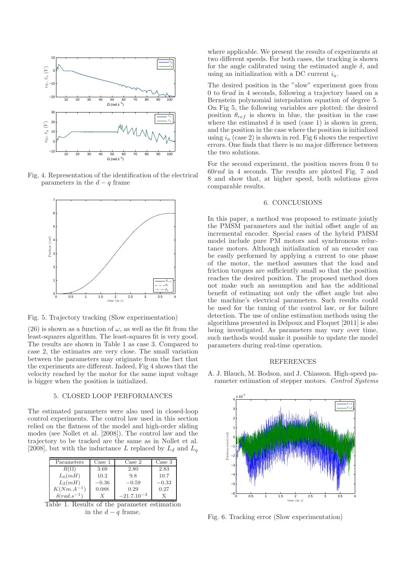

Fig. 4. Representation of the identification of the electrical parameters in the  $d - q$  frame



Fig. 5. Trajectory tracking (Slow experimentation)

(26) is shown as a function of  $\omega$ , as well as the fit from the least-squares algorithm. The least-squares fit is very good. The results are shown in Table 1 as case 3. Compared to case 2, the estimates are very close. The small variation between the parameters may originate from the fact that the experiments are different. Indeed, Fig 4 shows that the velocity reached by the motor for the same input voltage is bigger when the position is initialized.

#### 5. CLOSED LOOP PERFORMANCES

The estimated parameters were also used in closed-loop control experiments. The control law used in this section relied on the flatness of the model and high-order sliding modes (see Nollet et al. [2008]). The control law and the trajectory to be tracked are the same as in Nollet et al. [2008], but with the inductance L replaced by  $L_d$  and  $L_q$ 

| Parameters            | Case 1  | $\text{Case} 2$ | Case 3  |
|-----------------------|---------|-----------------|---------|
| $R(\Omega)$           | 3.69    | 2.80            | 2.83    |
| $L_0(mH)$             | 10.2    | 9.8             | 10.7    |
| $L_2(mH)$             | $-0.36$ | $-0.59$         | $-0.33$ |
| $K(Nm.A^{-1})$        | 0.088   | 0.29            | 0.27    |
| $\delta (rad.s^{-1})$ |         | $-21.7.10^{-3}$ |         |

Table 1. Results of the parameter estimation in the  $d - q$  frame.

where applicable. We present the results of experiments at two different speeds. For both cases, the tracking is shown for the angle calibrated using the estimated angle  $\delta$ , and using an initialization with a DC current  $i_a$ .

The desired position in the "slow" experiment goes from 0 to 6rad in 4 seconds, following a trajectory based on a Bernstein polynomial interpolation equation of degree 5. On Fig 5, the following variables are plotted: the desired position  $\theta_{ref}$  is shown in blue, the position in the case where the estimated  $\delta$  is used (case 1) is shown in green, and the position in the case where the position is initialized using  $i_a$  (case 2) is shown in red. Fig 6 shows the respective errors. One finds that there is no major difference between the two solutions.

For the second experiment, the position moves from 0 to 60rad in 4 seconds. The results are plotted Fig. 7 and 8 and show that, at higher speed, both solutions gives comparable results.

## 6. CONCLUSIONS

In this paper, a method was proposed to estimate jointly the PMSM parameters and the initial offset angle of an incremental encoder. Special cases of the hybrid PMSM model include pure PM motors and synchronous reluctance motors. Although initialization of an encoder can be easily performed by applying a current to one phase of the motor, the method assumes that the load and friction torques are sufficiently small so that the position reaches the desired position. The proposed method does not make such an assumption and has the additional benefit of estimating not only the offset angle but also the machine's electrical parameters. Such results could be used for the tuning of the control law, or for failure detection. The use of online estimation methods using the algorithms presented in Delpoux and Floquet [2011] is also being investigated. As parameters may vary over time, such methods would make it possible to update the model parameters during real-time operation.

#### REFERENCES

A. J. Blauch, M. Bodson, and J. Chiasson. High-speed parameter estimation of stepper motors. *Control Systems*



Fig. 6. Tracking error (Slow experimentation)